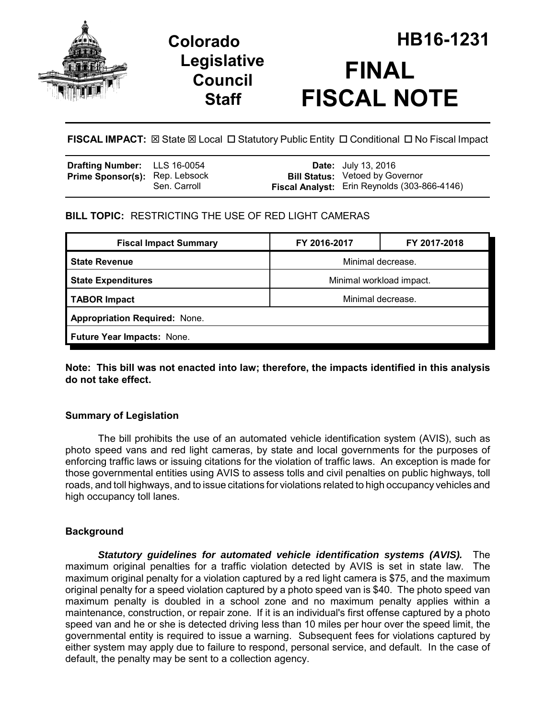

## **Legislative Council Staff**

# **Colorado HB16-1231 FINAL FISCAL NOTE**

**FISCAL IMPACT:** ⊠ State ⊠ Local □ Statutory Public Entity □ Conditional □ No Fiscal Impact

| <b>Drafting Number:</b> LLS 16-0054   |              | <b>Date:</b> July 13, 2016                                                                    |
|---------------------------------------|--------------|-----------------------------------------------------------------------------------------------|
| <b>Prime Sponsor(s): Rep. Lebsock</b> | Sen. Carroll | <b>Bill Status: Vetoed by Governor</b><br><b>Fiscal Analyst:</b> Erin Reynolds (303-866-4146) |

## **BILL TOPIC:** RESTRICTING THE USE OF RED LIGHT CAMERAS

| <b>Fiscal Impact Summary</b>         | FY 2016-2017             | FY 2017-2018 |  |  |  |
|--------------------------------------|--------------------------|--------------|--|--|--|
| <b>State Revenue</b>                 | Minimal decrease.        |              |  |  |  |
| <b>State Expenditures</b>            | Minimal workload impact. |              |  |  |  |
| <b>TABOR Impact</b>                  | Minimal decrease.        |              |  |  |  |
| <b>Appropriation Required: None.</b> |                          |              |  |  |  |
| <b>Future Year Impacts: None.</b>    |                          |              |  |  |  |

**Note: This bill was not enacted into law; therefore, the impacts identified in this analysis do not take effect.**

## **Summary of Legislation**

The bill prohibits the use of an automated vehicle identification system (AVIS), such as photo speed vans and red light cameras, by state and local governments for the purposes of enforcing traffic laws or issuing citations for the violation of traffic laws. An exception is made for those governmental entities using AVIS to assess tolls and civil penalties on public highways, toll roads, and toll highways, and to issue citations for violations related to high occupancy vehicles and high occupancy toll lanes.

## **Background**

*Statutory guidelines for automated vehicle identification systems (AVIS).* The maximum original penalties for a traffic violation detected by AVIS is set in state law. The maximum original penalty for a violation captured by a red light camera is \$75, and the maximum original penalty for a speed violation captured by a photo speed van is \$40. The photo speed van maximum penalty is doubled in a school zone and no maximum penalty applies within a maintenance, construction, or repair zone. If it is an individual's first offense captured by a photo speed van and he or she is detected driving less than 10 miles per hour over the speed limit, the governmental entity is required to issue a warning. Subsequent fees for violations captured by either system may apply due to failure to respond, personal service, and default. In the case of default, the penalty may be sent to a collection agency.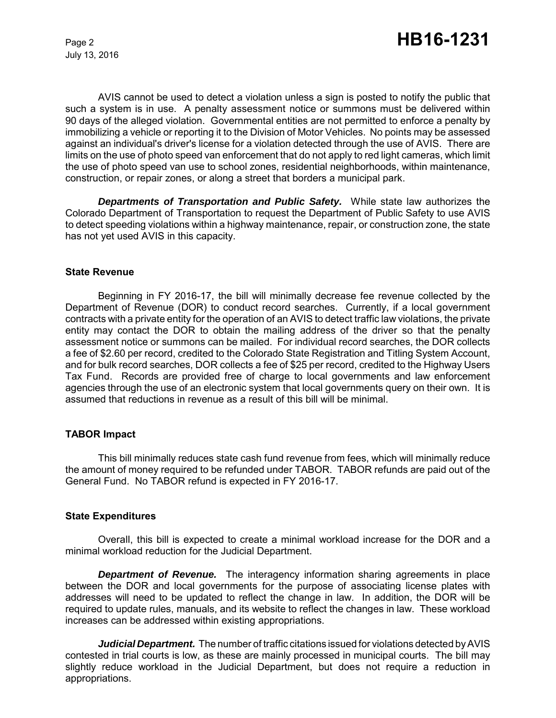July 13, 2016

AVIS cannot be used to detect a violation unless a sign is posted to notify the public that such a system is in use. A penalty assessment notice or summons must be delivered within 90 days of the alleged violation. Governmental entities are not permitted to enforce a penalty by immobilizing a vehicle or reporting it to the Division of Motor Vehicles. No points may be assessed against an individual's driver's license for a violation detected through the use of AVIS. There are limits on the use of photo speed van enforcement that do not apply to red light cameras, which limit the use of photo speed van use to school zones, residential neighborhoods, within maintenance, construction, or repair zones, or along a street that borders a municipal park.

*Departments of Transportation and Public Safety.* While state law authorizes the Colorado Department of Transportation to request the Department of Public Safety to use AVIS to detect speeding violations within a highway maintenance, repair, or construction zone, the state has not yet used AVIS in this capacity.

#### **State Revenue**

Beginning in FY 2016-17, the bill will minimally decrease fee revenue collected by the Department of Revenue (DOR) to conduct record searches. Currently, if a local government contracts with a private entity for the operation of an AVIS to detect traffic law violations, the private entity may contact the DOR to obtain the mailing address of the driver so that the penalty assessment notice or summons can be mailed. For individual record searches, the DOR collects a fee of \$2.60 per record, credited to the Colorado State Registration and Titling System Account, and for bulk record searches, DOR collects a fee of \$25 per record, credited to the Highway Users Tax Fund. Records are provided free of charge to local governments and law enforcement agencies through the use of an electronic system that local governments query on their own. It is assumed that reductions in revenue as a result of this bill will be minimal.

#### **TABOR Impact**

This bill minimally reduces state cash fund revenue from fees, which will minimally reduce the amount of money required to be refunded under TABOR. TABOR refunds are paid out of the General Fund. No TABOR refund is expected in FY 2016-17.

#### **State Expenditures**

Overall, this bill is expected to create a minimal workload increase for the DOR and a minimal workload reduction for the Judicial Department.

*Department of Revenue.* The interagency information sharing agreements in place between the DOR and local governments for the purpose of associating license plates with addresses will need to be updated to reflect the change in law. In addition, the DOR will be required to update rules, manuals, and its website to reflect the changes in law. These workload increases can be addressed within existing appropriations.

*Judicial Department.* The number of traffic citations issued for violations detected by AVIS contested in trial courts is low, as these are mainly processed in municipal courts. The bill may slightly reduce workload in the Judicial Department, but does not require a reduction in appropriations.